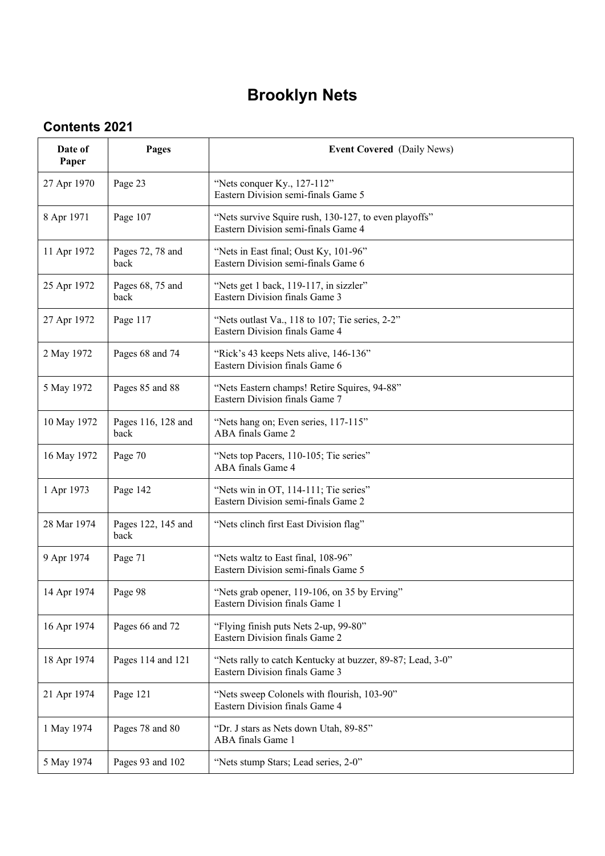## **Brooklyn Nets**

## **Contents 2021**

| Date of<br>Paper | Pages                      | <b>Event Covered</b> (Daily News)                                                            |
|------------------|----------------------------|----------------------------------------------------------------------------------------------|
| 27 Apr 1970      | Page 23                    | "Nets conquer Ky., 127-112"<br>Eastern Division semi-finals Game 5                           |
| 8 Apr 1971       | Page 107                   | "Nets survive Squire rush, 130-127, to even playoffs"<br>Eastern Division semi-finals Game 4 |
| 11 Apr 1972      | Pages 72, 78 and<br>back   | "Nets in East final; Oust Ky, 101-96"<br>Eastern Division semi-finals Game 6                 |
| 25 Apr 1972      | Pages 68, 75 and<br>back   | "Nets get 1 back, 119-117, in sizzler"<br>Eastern Division finals Game 3                     |
| 27 Apr 1972      | Page 117                   | "Nets outlast Va., 118 to 107; Tie series, 2-2"<br>Eastern Division finals Game 4            |
| 2 May 1972       | Pages 68 and 74            | "Rick's 43 keeps Nets alive, 146-136"<br>Eastern Division finals Game 6                      |
| 5 May 1972       | Pages 85 and 88            | "Nets Eastern champs! Retire Squires, 94-88"<br>Eastern Division finals Game 7               |
| 10 May 1972      | Pages 116, 128 and<br>back | "Nets hang on; Even series, 117-115"<br>ABA finals Game 2                                    |
| 16 May 1972      | Page 70                    | "Nets top Pacers, 110-105; Tie series"<br>ABA finals Game 4                                  |
| 1 Apr 1973       | Page 142                   | "Nets win in OT, 114-111; Tie series"<br>Eastern Division semi-finals Game 2                 |
| 28 Mar 1974      | Pages 122, 145 and<br>back | "Nets clinch first East Division flag"                                                       |
| 9 Apr 1974       | Page 71                    | "Nets waltz to East final, 108-96"<br>Eastern Division semi-finals Game 5                    |
| 14 Apr 1974      | Page 98                    | "Nets grab opener, 119-106, on 35 by Erving"<br>Eastern Division finals Game 1               |
| 16 Apr 1974      | Pages 66 and 72            | "Flying finish puts Nets 2-up, 99-80"<br>Eastern Division finals Game 2                      |
| 18 Apr 1974      | Pages 114 and 121          | "Nets rally to catch Kentucky at buzzer, 89-87; Lead, 3-0"<br>Eastern Division finals Game 3 |
| 21 Apr 1974      | Page 121                   | "Nets sweep Colonels with flourish, 103-90"<br>Eastern Division finals Game 4                |
| 1 May 1974       | Pages 78 and 80            | "Dr. J stars as Nets down Utah, 89-85"<br>ABA finals Game 1                                  |
| 5 May 1974       | Pages 93 and 102           | "Nets stump Stars; Lead series, 2-0"                                                         |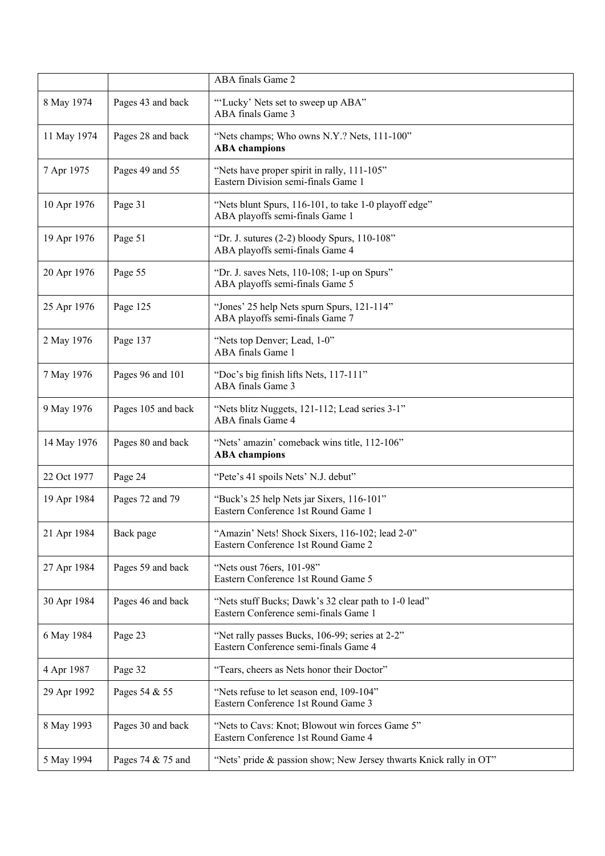|             |                    | ABA finals Game 2                                                                             |
|-------------|--------------------|-----------------------------------------------------------------------------------------------|
| 8 May 1974  | Pages 43 and back  | "Lucky' Nets set to sweep up ABA"<br>ABA finals Game 3                                        |
| 11 May 1974 | Pages 28 and back  | "Nets champs; Who owns N.Y.? Nets, 111-100"<br><b>ABA</b> champions                           |
| 7 Apr 1975  | Pages 49 and 55    | "Nets have proper spirit in rally, 111-105"<br>Eastern Division semi-finals Game 1            |
| 10 Apr 1976 | Page 31            | "Nets blunt Spurs, 116-101, to take 1-0 playoff edge"<br>ABA playoffs semi-finals Game 1      |
| 19 Apr 1976 | Page 51            | "Dr. J. sutures $(2-2)$ bloody Spurs, $110-108$ "<br>ABA playoffs semi-finals Game 4          |
| 20 Apr 1976 | Page 55            | "Dr. J. saves Nets, 110-108; 1-up on Spurs"<br>ABA playoffs semi-finals Game 5                |
| 25 Apr 1976 | Page 125           | "Jones' 25 help Nets spurn Spurs, 121-114"<br>ABA playoffs semi-finals Game 7                 |
| 2 May 1976  | Page 137           | "Nets top Denver; Lead, 1-0"<br>ABA finals Game 1                                             |
| 7 May 1976  | Pages 96 and 101   | "Doc's big finish lifts Nets, 117-111"<br>ABA finals Game 3                                   |
| 9 May 1976  | Pages 105 and back | "Nets blitz Nuggets, 121-112; Lead series 3-1"<br>ABA finals Game 4                           |
| 14 May 1976 | Pages 80 and back  | "Nets' amazin' comeback wins title, 112-106"<br><b>ABA</b> champions                          |
| 22 Oct 1977 | Page 24            | "Pete's 41 spoils Nets' N.J. debut"                                                           |
| 19 Apr 1984 | Pages 72 and 79    | "Buck's 25 help Nets jar Sixers, 116-101"<br>Eastern Conference 1st Round Game 1              |
| 21 Apr 1984 | Back page          | "Amazin' Nets! Shock Sixers, 116-102; lead 2-0"<br>Eastern Conference 1st Round Game 2        |
| 27 Apr 1984 | Pages 59 and back  | "Nets oust 76ers, 101-98"<br>Eastern Conference 1st Round Game 5                              |
| 30 Apr 1984 | Pages 46 and back  | "Nets stuff Bucks; Dawk's 32 clear path to 1-0 lead"<br>Eastern Conference semi-finals Game 1 |
| 6 May 1984  | Page 23            | "Net rally passes Bucks, 106-99; series at 2-2"<br>Eastern Conference semi-finals Game 4      |
| 4 Apr 1987  | Page 32            | "Tears, cheers as Nets honor their Doctor"                                                    |
| 29 Apr 1992 | Pages 54 & 55      | "Nets refuse to let season end, 109-104"<br>Eastern Conference 1st Round Game 3               |
| 8 May 1993  | Pages 30 and back  | "Nets to Cavs: Knot; Blowout win forces Game 5"<br>Eastern Conference 1st Round Game 4        |
| 5 May 1994  | Pages 74 & 75 and  | "Nets' pride & passion show; New Jersey thwarts Knick rally in OT"                            |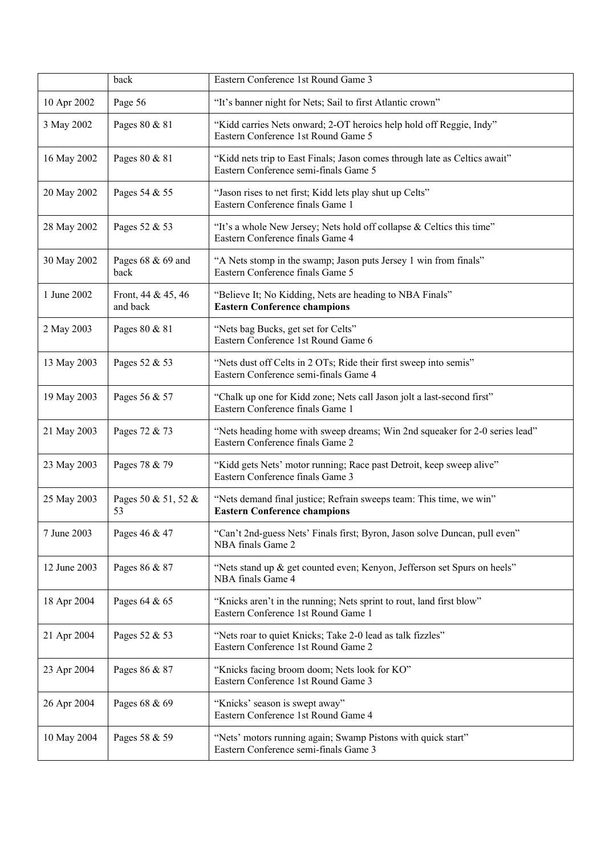|              | back                           | Eastern Conference 1st Round Game 3                                                                                 |
|--------------|--------------------------------|---------------------------------------------------------------------------------------------------------------------|
| 10 Apr 2002  | Page 56                        | "It's banner night for Nets; Sail to first Atlantic crown"                                                          |
| 3 May 2002   | Pages 80 & 81                  | "Kidd carries Nets onward; 2-OT heroics help hold off Reggie, Indy"<br>Eastern Conference 1st Round Game 5          |
| 16 May 2002  | Pages 80 & 81                  | "Kidd nets trip to East Finals; Jason comes through late as Celtics await"<br>Eastern Conference semi-finals Game 5 |
| 20 May 2002  | Pages 54 & 55                  | "Jason rises to net first; Kidd lets play shut up Celts"<br>Eastern Conference finals Game 1                        |
| 28 May 2002  | Pages 52 & 53                  | "It's a whole New Jersey; Nets hold off collapse & Celtics this time"<br>Eastern Conference finals Game 4           |
| 30 May 2002  | Pages 68 & 69 and<br>back      | "A Nets stomp in the swamp; Jason puts Jersey 1 win from finals"<br>Eastern Conference finals Game 5                |
| 1 June 2002  | Front, 44 & 45, 46<br>and back | "Believe It; No Kidding, Nets are heading to NBA Finals"<br><b>Eastern Conference champions</b>                     |
| 2 May 2003   | Pages 80 & 81                  | "Nets bag Bucks, get set for Celts"<br>Eastern Conference 1st Round Game 6                                          |
| 13 May 2003  | Pages 52 & 53                  | "Nets dust off Celts in 2 OTs; Ride their first sweep into semis"<br>Eastern Conference semi-finals Game 4          |
| 19 May 2003  | Pages 56 & 57                  | "Chalk up one for Kidd zone; Nets call Jason jolt a last-second first"<br>Eastern Conference finals Game 1          |
| 21 May 2003  | Pages 72 & 73                  | "Nets heading home with sweep dreams; Win 2nd squeaker for 2-0 series lead"<br>Eastern Conference finals Game 2     |
| 23 May 2003  | Pages 78 & 79                  | "Kidd gets Nets' motor running; Race past Detroit, keep sweep alive"<br>Eastern Conference finals Game 3            |
| 25 May 2003  | Pages 50 & 51, 52 &<br>53      | "Nets demand final justice; Refrain sweeps team: This time, we win"<br><b>Eastern Conference champions</b>          |
| 7 June 2003  | Pages 46 & 47                  | "Can't 2nd-guess Nets' Finals first; Byron, Jason solve Duncan, pull even"<br>NBA finals Game 2                     |
| 12 June 2003 | Pages 86 & 87                  | "Nets stand up & get counted even; Kenyon, Jefferson set Spurs on heels"<br>NBA finals Game 4                       |
| 18 Apr 2004  | Pages 64 & 65                  | "Knicks aren't in the running; Nets sprint to rout, land first blow"<br>Eastern Conference 1st Round Game 1         |
| 21 Apr 2004  | Pages 52 & 53                  | "Nets roar to quiet Knicks; Take 2-0 lead as talk fizzles"<br>Eastern Conference 1st Round Game 2                   |
| 23 Apr 2004  | Pages 86 & 87                  | "Knicks facing broom doom; Nets look for KO"<br>Eastern Conference 1st Round Game 3                                 |
| 26 Apr 2004  | Pages 68 & 69                  | "Knicks' season is swept away"<br>Eastern Conference 1st Round Game 4                                               |
| 10 May 2004  | Pages 58 & 59                  | "Nets' motors running again; Swamp Pistons with quick start"<br>Eastern Conference semi-finals Game 3               |
|              |                                |                                                                                                                     |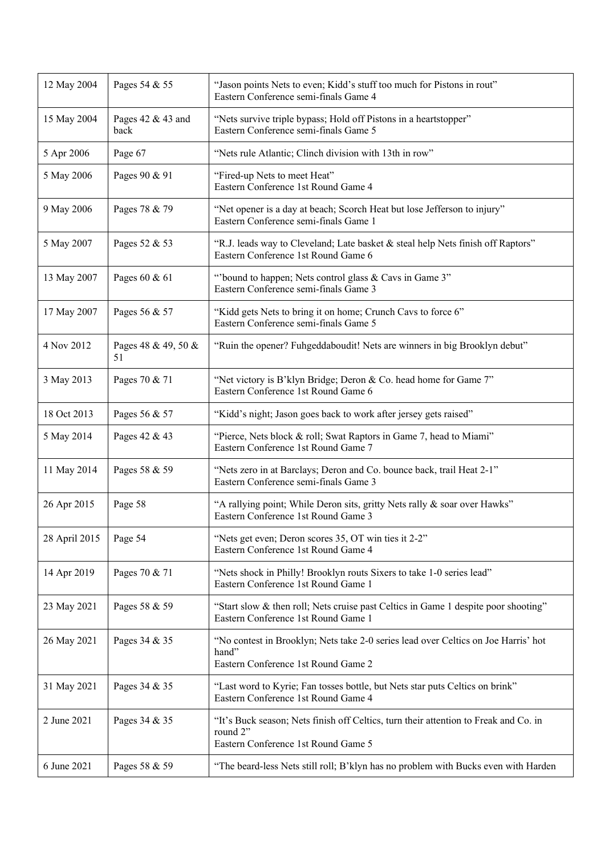| 12 May 2004   | Pages 54 & 55             | "Jason points Nets to even; Kidd's stuff too much for Pistons in rout"<br>Eastern Conference semi-finals Game 4                         |
|---------------|---------------------------|-----------------------------------------------------------------------------------------------------------------------------------------|
| 15 May 2004   | Pages 42 & 43 and<br>back | "Nets survive triple bypass; Hold off Pistons in a heartstopper"<br>Eastern Conference semi-finals Game 5                               |
| 5 Apr 2006    | Page 67                   | "Nets rule Atlantic; Clinch division with 13th in row"                                                                                  |
| 5 May 2006    | Pages 90 & 91             | "Fired-up Nets to meet Heat"<br>Eastern Conference 1st Round Game 4                                                                     |
| 9 May 2006    | Pages 78 & 79             | "Net opener is a day at beach; Scorch Heat but lose Jefferson to injury"<br>Eastern Conference semi-finals Game 1                       |
| 5 May 2007    | Pages 52 & 53             | "R.J. leads way to Cleveland; Late basket & steal help Nets finish off Raptors"<br>Eastern Conference 1st Round Game 6                  |
| 13 May 2007   | Pages 60 & 61             | "bound to happen; Nets control glass & Cavs in Game 3"<br>Eastern Conference semi-finals Game 3                                         |
| 17 May 2007   | Pages 56 & 57             | "Kidd gets Nets to bring it on home; Crunch Cavs to force 6"<br>Eastern Conference semi-finals Game 5                                   |
| 4 Nov 2012    | Pages 48 & 49, 50 &<br>51 | "Ruin the opener? Fuhgeddaboudit! Nets are winners in big Brooklyn debut"                                                               |
| 3 May 2013    | Pages 70 & 71             | "Net victory is B'klyn Bridge; Deron & Co. head home for Game 7"<br>Eastern Conference 1st Round Game 6                                 |
| 18 Oct 2013   | Pages 56 & 57             | "Kidd's night; Jason goes back to work after jersey gets raised"                                                                        |
| 5 May 2014    | Pages 42 & 43             | "Pierce, Nets block & roll; Swat Raptors in Game 7, head to Miami"<br>Eastern Conference 1st Round Game 7                               |
| 11 May 2014   | Pages 58 & 59             | "Nets zero in at Barclays; Deron and Co. bounce back, trail Heat 2-1"<br>Eastern Conference semi-finals Game 3                          |
| 26 Apr 2015   | Page 58                   | "A rallying point; While Deron sits, gritty Nets rally & soar over Hawks"<br>Eastern Conference 1st Round Game 3                        |
| 28 April 2015 | Page 54                   | "Nets get even; Deron scores 35, OT win ties it 2-2"<br>Eastern Conference 1st Round Game 4                                             |
| 14 Apr 2019   | Pages 70 & 71             | "Nets shock in Philly! Brooklyn routs Sixers to take 1-0 series lead"<br>Eastern Conference 1st Round Game 1                            |
| 23 May 2021   | Pages 58 & 59             | "Start slow & then roll; Nets cruise past Celtics in Game 1 despite poor shooting"<br>Eastern Conference 1st Round Game 1               |
| 26 May 2021   | Pages 34 & 35             | "No contest in Brooklyn; Nets take 2-0 series lead over Celtics on Joe Harris' hot<br>hand"<br>Eastern Conference 1st Round Game 2      |
| 31 May 2021   | Pages 34 & 35             | "Last word to Kyrie; Fan tosses bottle, but Nets star puts Celtics on brink"<br>Eastern Conference 1st Round Game 4                     |
| 2 June 2021   | Pages 34 & 35             | "It's Buck season; Nets finish off Celtics, turn their attention to Freak and Co. in<br>round 2"<br>Eastern Conference 1st Round Game 5 |
| 6 June 2021   | Pages 58 & 59             | "The beard-less Nets still roll; B'klyn has no problem with Bucks even with Harden                                                      |